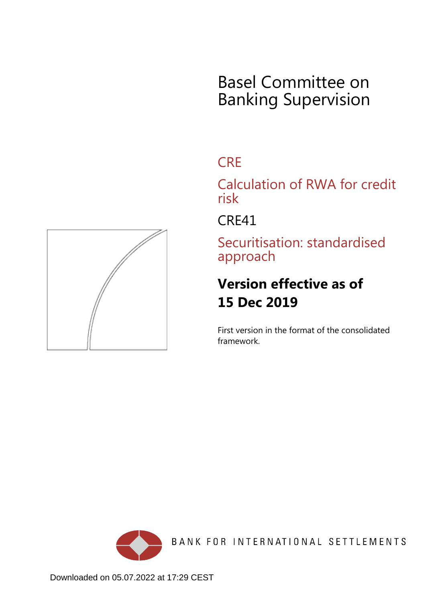# Basel Committee on Banking Supervision

## **CRE**

Calculation of RWA for credit risk

CRE41

Securitisation: standardised approach

## **Version effective as of 15 Dec 2019**

First version in the format of the consolidated framework.



BANK FOR INTERNATIONAL SETTLEMENTS

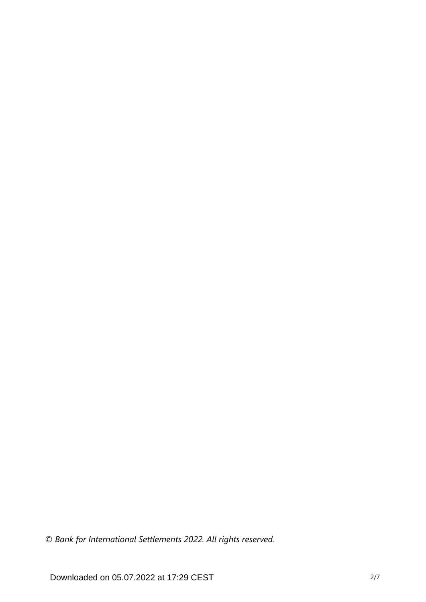*© Bank for International Settlements 2022. All rights reserved.*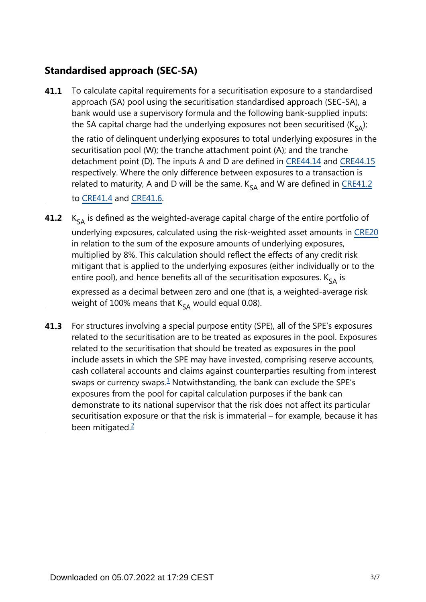### **Standardised approach (SEC-SA)**

To calculate capital requirements for a securitisation exposure to a standardised approach (SA) pool using the securitisation standardised approach (SEC-SA), a bank would use a supervisory formula and the following bank-supplied inputs: the SA capital charge had the underlying exposures not been securitised ( $K_{s_{\Delta}}$ ); **41.1**

the ratio of delinquent underlying exposures to total underlying exposures in the securitisation pool (W); the tranche attachment point (A); and the tranche detachment point (D). The inputs A and D are defined in [CRE44.14](https://www.bis.org/basel_framework/chapter/CRE/44.htm?tldate=20230101&inforce=20230101&published=20200327#paragraph_CRE_44_20230101_44_14) and [CRE44.15](https://www.bis.org/basel_framework/chapter/CRE/44.htm?tldate=20230101&inforce=20230101&published=20200327#paragraph_CRE_44_20230101_44_15) respectively. Where the only difference between exposures to a transaction is related to maturity, A and D will be the same.  $K_{cA}$  and W are defined in [CRE41.2](https://www.bis.org/basel_framework/chapter/CRE/41.htm?tldate=20230101&inforce=20191215&published=20191215#paragraph_CRE_41_20191215_41_2)

to [CRE41.4](https://www.bis.org/basel_framework/chapter/CRE/41.htm?tldate=20230101&inforce=20191215&published=20191215#paragraph_CRE_41_20191215_41_4) and [CRE41.6](https://www.bis.org/basel_framework/chapter/CRE/41.htm?tldate=20230101&inforce=20191215&published=20191215#paragraph_CRE_41_20191215_41_6).

- $K_{SA}$  is defined as the weighted-average capital charge of the entire portfolio of underlying exposures, calculated using the risk-weighted asset amounts in [CRE20](https://www.bis.org/basel_framework/chapter/CRE/20.htm?tldate=20230101&inforce=20230101&published=20201126) in relation to the sum of the exposure amounts of underlying exposures, multiplied by 8%. This calculation should reflect the effects of any credit risk mitigant that is applied to the underlying exposures (either individually or to the entire pool), and hence benefits all of the securitisation exposures.  $K_{s_A}$  is expressed as a decimal between zero and one (that is, a weighted-average risk weight of 100% means that  $K_{SA}$  would equal 0.08). **41.2**
- <span id="page-2-1"></span><span id="page-2-0"></span>For structures involving a special purpose entity (SPE), all of the SPE's exposures related to the securitisation are to be treated as exposures in the pool. Exposures related to the securitisation that should be treated as exposures in the pool include assets in which the SPE may have invested, comprising reserve accounts, cash collateral accounts and claims against counterparties resulting from interest swaps or currency swaps. $\frac{1}{2}$  $\frac{1}{2}$  $\frac{1}{2}$  Notwithstanding, the bank can exclude the SPE's exposures from the pool for capital calculation purposes if the bank can demonstrate to its national supervisor that the risk does not affect its particular securitisation exposure or that the risk is immaterial – for example, because it has been mitigated. $\frac{2}{3}$  $\frac{2}{3}$  $\frac{2}{3}$ **41.3**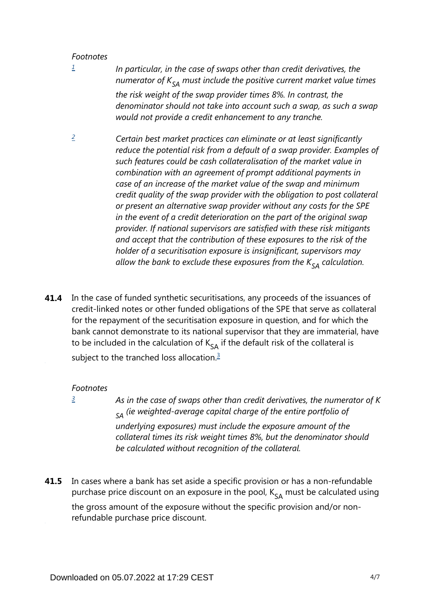#### *Footnotes*

<span id="page-3-0"></span>*[1](#page-2-0)*

- *In particular, in the case of swaps other than credit derivatives, the numerator of*  $K_{SA}$  *must include the positive current market value times the risk weight of the swap provider times 8%. In contrast, the denominator should not take into account such a swap, as such a swap would not provide a credit enhancement to any tranche.*
- <span id="page-3-1"></span>*Certain best market practices can eliminate or at least significantly reduce the potential risk from a default of a swap provider. Examples of such features could be cash collateralisation of the market value in combination with an agreement of prompt additional payments in case of an increase of the market value of the swap and minimum credit quality of the swap provider with the obligation to post collateral or present an alternative swap provider without any costs for the SPE in the event of a credit deterioration on the part of the original swap provider. If national supervisors are satisfied with these risk mitigants and accept that the contribution of these exposures to the risk of the holder of a securitisation exposure is insignificant, supervisors may allow the bank to exclude these exposures from the*  $K_{SA}$  *calculation. [2](#page-2-1)*
- <span id="page-3-3"></span>In the case of funded synthetic securitisations, any proceeds of the issuances of credit-linked notes or other funded obligations of the SPE that serve as collateral for the repayment of the securitisation exposure in question, and for which the bank cannot demonstrate to its national supervisor that they are immaterial, have to be included in the calculation of  $K_{sA}$  if the default risk of the collateral is subject to the tranched loss allocation.<sup>[3](#page-3-2)</sup> **41.4**

#### *Footnotes*

<span id="page-3-2"></span>*[3](#page-3-3)*

*As in the case of swaps other than credit derivatives, the numerator of K*  $_{SA}$  (ie weighted-average capital charge of the entire portfolio of *underlying exposures) must include the exposure amount of the collateral times its risk weight times 8%, but the denominator should be calculated without recognition of the collateral.*

In cases where a bank has set aside a specific provision or has a non-refundable purchase price discount on an exposure in the pool,  $K_{SA}$  must be calculated using the gross amount of the exposure without the specific provision and/or nonrefundable purchase price discount. **41.5**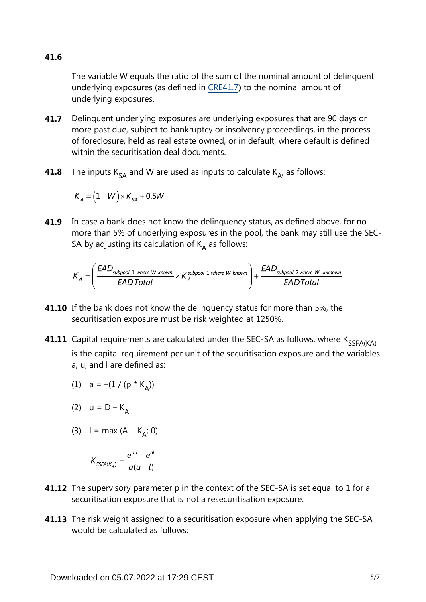**41.6**

The variable W equals the ratio of the sum of the nominal amount of delinquent underlying exposures (as defined in [CRE41.7\)](https://www.bis.org/basel_framework/chapter/CRE/41.htm?tldate=20230101&inforce=20191215&published=20191215#paragraph_CRE_41_20191215_41_7) to the nominal amount of underlying exposures.

- Delinquent underlying exposures are underlying exposures that are 90 days or more past due, subject to bankruptcy or insolvency proceedings, in the process of foreclosure, held as real estate owned, or in default, where default is defined within the securitisation deal documents. **41.7**
- The inputs  $K_{SA}$  and W are used as inputs to calculate  $K_{A}$ , as follows: **41.8**

$$
K_{A} = (1 - W) \times K_{SA} + 0.5W
$$

**41.9** In case a bank does not know the delinquency status, as defined above, for no more than 5% of underlying exposures in the pool, the bank may still use the SEC-SA by adjusting its calculation of  $K_A$  as follows:

$$
K_A = \left(\frac{\text{EAD}_{\text{subpool 1 where W known}}}{\text{EADTotal}} \times K_A^{\text{subpool 1 where W known}}\right) + \frac{\text{EAD}_{\text{subpool 2 where W unknown}}}{\text{EADTotal}}
$$

- **41.10** If the bank does not know the delinquency status for more than 5%, the securitisation exposure must be risk weighted at 1250%.
- **41.11** Capital requirements are calculated under the SEC-SA as follows, where  $\mathsf{K}_{\mathsf{SSFA}(\mathsf{KA})}$ is the capital requirement per unit of the securitisation exposure and the variables a, u, and l are defined as:

(1) 
$$
a = -(1 / (p * K_A))
$$

$$
(2) \quad u = D - K_A
$$

(3)  $I = max (A - K_{A}; 0)$ 

$$
K_{\text{SSFA}(K_A)} = \frac{e^{au} - e^{al}}{a(u-l)}
$$

- **41.12** The supervisory parameter p in the context of the SEC-SA is set equal to 1 for a securitisation exposure that is not a resecuritisation exposure.
- **41.13** The risk weight assigned to a securitisation exposure when applying the SEC-SA would be calculated as follows: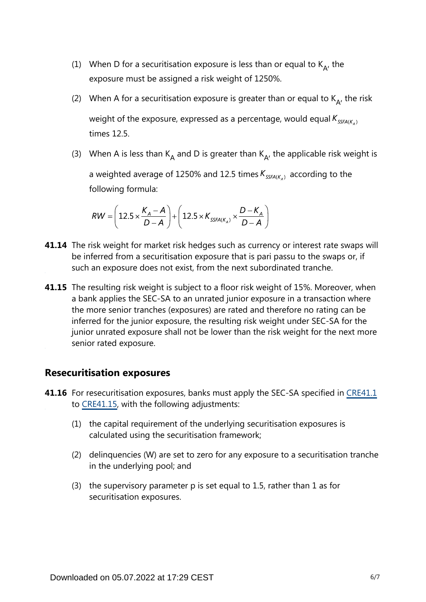- (1) When D for a securitisation exposure is less than or equal to  $K_{A}$ , the exposure must be assigned a risk weight of 1250%.
- (2) When A for a securitisation exposure is greater than or equal to  $K_{A}$ , the risk weight of the exposure, expressed as a percentage, would equal  $K_{\text{SSEA}(K_1)}$ times 12.5.
- (3) When A is less than K<sub>A</sub> and D is greater than K<sub>A</sub>, the applicable risk weight is a weighted average of 1250% and 12.5 times  $K_{SSFA(K_A)}$  according to the following formula:

$$
RW = \left(12.5 \times \frac{K_A - A}{D - A}\right) + \left(12.5 \times K_{SSFA(K_A)} \times \frac{D - K_A}{D - A}\right)
$$

- **41.14** The risk weight for market risk hedges such as currency or interest rate swaps will be inferred from a securitisation exposure that is pari passu to the swaps or, if such an exposure does not exist, from the next subordinated tranche.
- **41.15** The resulting risk weight is subject to a floor risk weight of 15%. Moreover, when a bank applies the SEC-SA to an unrated junior exposure in a transaction where the more senior tranches (exposures) are rated and therefore no rating can be inferred for the junior exposure, the resulting risk weight under SEC-SA for the junior unrated exposure shall not be lower than the risk weight for the next more senior rated exposure.

#### **Resecuritisation exposures**

- **41.16** For resecuritisation exposures, banks must apply the SEC-SA specified in [CRE41.1](https://www.bis.org/basel_framework/chapter/CRE/41.htm?tldate=20230101&inforce=20191215&published=20191215#paragraph_CRE_41_20191215_41_1) to [CRE41.15,](https://www.bis.org/basel_framework/chapter/CRE/41.htm?tldate=20230101&inforce=20191215&published=20191215#paragraph_CRE_41_20191215_41_15) with the following adjustments:
	- (1) the capital requirement of the underlying securitisation exposures is calculated using the securitisation framework;
	- (2) delinquencies (W) are set to zero for any exposure to a securitisation tranche in the underlying pool; and
	- (3) the supervisory parameter p is set equal to 1.5, rather than 1 as for securitisation exposures.